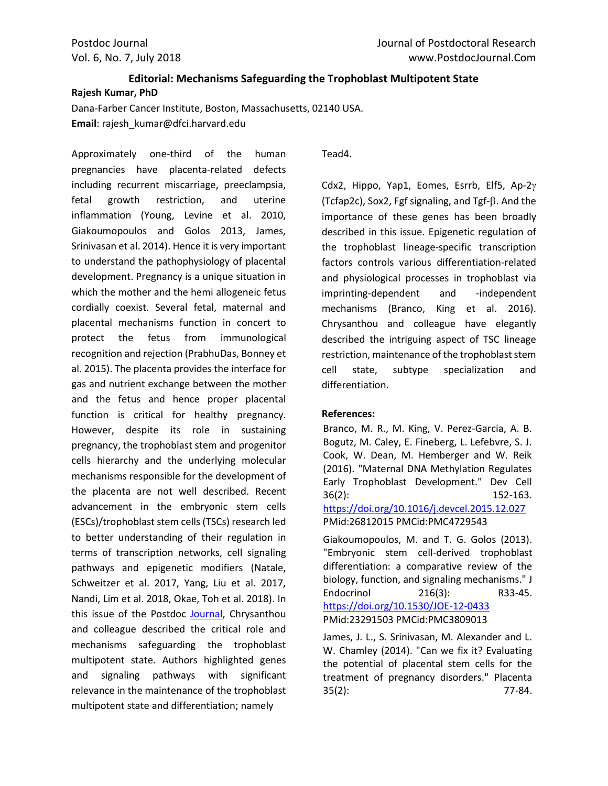## **Editorial: Mechanisms Safeguarding the Trophoblast Multipotent State Rajesh Kumar, PhD**

Dana-Farber Cancer Institute, Boston, Massachusetts, 02140 USA. **Email**: rajesh\_kumar@dfci.harvard.edu

Approximately one-third of the human pregnancies have placenta-related defects including recurrent miscarriage, preeclampsia, fetal growth restriction, and uterine inflammation (Young, Levine et al. 2010, Giakoumopoulos and Golos 2013, James, Srinivasan et al. 2014). Hence it is very important to understand the pathophysiology of placental development. Pregnancy is a unique situation in which the mother and the hemi allogeneic fetus cordially coexist. Several fetal, maternal and placental mechanisms function in concert to protect the fetus from immunological recognition and rejection (PrabhuDas, Bonney et al. 2015). The placenta provides the interface for gas and nutrient exchange between the mother and the fetus and hence proper placental function is critical for healthy pregnancy. However, despite its role in sustaining pregnancy, the trophoblast stem and progenitor cells hierarchy and the underlying molecular mechanisms responsible for the development of the placenta are not well described. Recent advancement in the embryonic stem cells (ESCs)/trophoblast stem cells (TSCs) research led to better understanding of their regulation in terms of transcription networks, cell signaling pathways and epigenetic modifiers (Natale, Schweitzer et al. 2017, Yang, Liu et al. 2017, Nandi, Lim et al. 2018, Okae, Toh et al. 2018). In this issue of the Postdoc [Journal,](http://www.postdocjournal.com/archives/3974/mechanisms-safeguarding-the-trophoblast-multipotent-state.htm) Chrysanthou and colleague described the critical role and mechanisms safeguarding the trophoblast multipotent state. Authors highlighted genes and signaling pathways with significant relevance in the maintenance of the trophoblast multipotent state and differentiation; namely

Tead4.

Cdx2, Hippo, Yap1, Eomes, Esrrb, Elf5, Ap-2 $\gamma$ (Tcfap2c), Sox2, Fgf signaling, and  $Tgf-\beta$ . And the importance of these genes has been broadly described in this issue. Epigenetic regulation of the trophoblast lineage-specific transcription factors controls various differentiation-related and physiological processes in trophoblast via imprinting-dependent and -independent mechanisms (Branco, King et al. 2016). Chrysanthou and colleague have elegantly described the intriguing aspect of TSC lineage restriction, maintenance of the trophoblast stem cell state, subtype specialization and differentiation.

## **References:**

Branco, M. R., M. King, V. Perez-Garcia, A. B. Bogutz, M. Caley, E. Fineberg, L. Lefebvre, S. J. Cook, W. Dean, M. Hemberger and W. Reik (2016). "Maternal DNA Methylation Regulates Early Trophoblast Development." Dev Cell 36(2): 152-163. <https://doi.org/10.1016/j.devcel.2015.12.027> PMid:26812015 PMCid:PMC4729543

Giakoumopoulos, M. and T. G. Golos (2013). "Embryonic stem cell-derived trophoblast differentiation: a comparative review of the biology, function, and signaling mechanisms." J Endocrinol 216(3): R33-45. <https://doi.org/10.1530/JOE-12-0433> PMid:23291503 PMCid:PMC3809013

James, J. L., S. Srinivasan, M. Alexander and L. W. Chamley (2014). "Can we fix it? Evaluating the potential of placental stem cells for the treatment of pregnancy disorders." Placenta 35(2): 77-84.